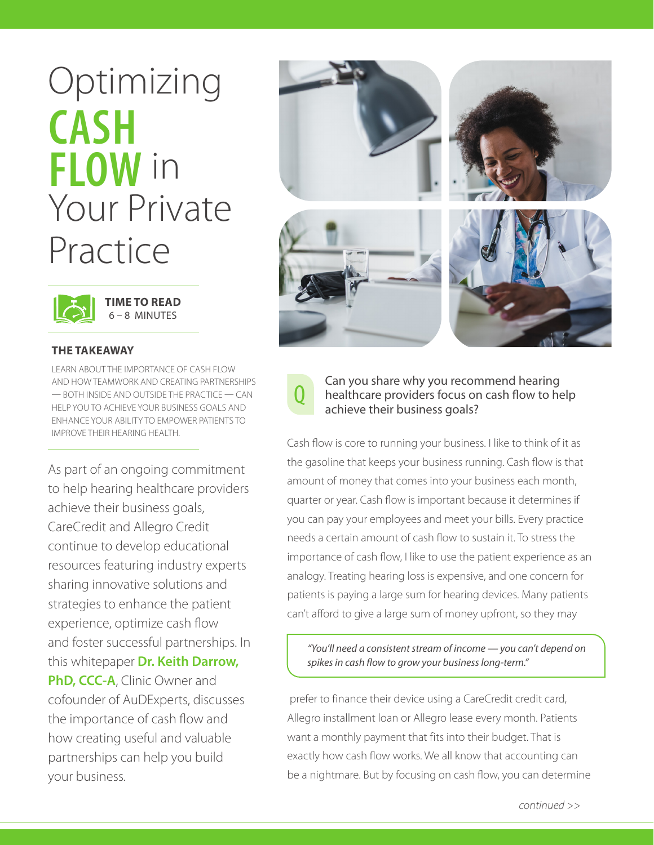# **Optimizing CASH FLOW** in Your Private Practice



**TIME TO READ** 6 – 8 MINUTES

#### **THE TAKEAWAY**

LEARN ABOUT THE IMPORTANCE OF CASH FLOW AND HOW TEAMWORK AND CREATING PARTNERSHIPS — BOTH INSIDE AND OUTSIDE THE PRACTICE — CAN HELP YOU TO ACHIEVE YOUR BUSINESS GOALS AND ENHANCE YOUR ABILITY TO EMPOWER PATIENTS TO IMPROVE THEIR HEARING HEALTH.

As part of an ongoing commitment to help hearing healthcare providers achieve their business goals, CareCredit and Allegro Credit continue to develop educational resources featuring industry experts sharing innovative solutions and strategies to enhance the patient experience, optimize cash flow and foster successful partnerships. In this whitepaper **Dr. Keith Darrow, PhD, CCC-A**, Clinic Owner and cofounder of AuDExperts, discusses the importance of cash flow and how creating useful and valuable partnerships can help you build your business.



## Can you share why you recommend hearing<br>
healthcare providers focus on cash flow to help<br>
eshieve their business goals? achieve their business goals?

Cash flow is core to running your business. I like to think of it as the gasoline that keeps your business running. Cash flow is that amount of money that comes into your business each month, quarter or year. Cash flow is important because it determines if you can pay your employees and meet your bills. Every practice needs a certain amount of cash flow to sustain it. To stress the importance of cash flow, I like to use the patient experience as an analogy. Treating hearing loss is expensive, and one concern for patients is paying a large sum for hearing devices. Many patients can't afford to give a large sum of money upfront, so they may

*"You'll need a consistent stream of income — you can't depend on spikes in cash flow to grow your business long-term."*

 prefer to finance their device using a CareCredit credit card, Allegro installment loan or Allegro lease every month. Patients want a monthly payment that fits into their budget. That is exactly how cash flow works. We all know that accounting can be a nightmare. But by focusing on cash flow, you can determine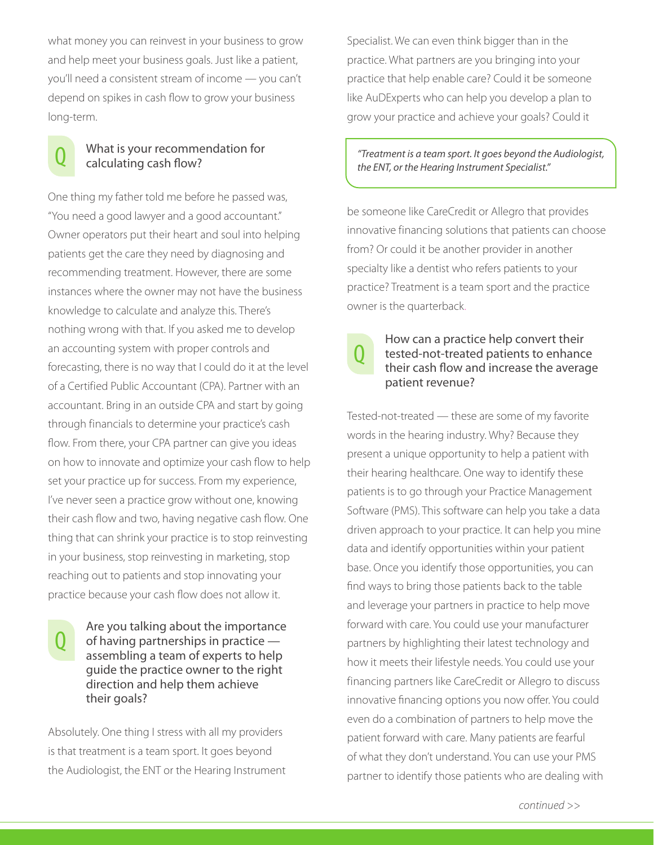what money you can reinvest in your business to grow and help meet your business goals. Just like a patient, you'll need a consistent stream of income — you can't depend on spikes in cash flow to grow your business long-term.

## What is your recommendation for calculating cash flow?

One thing my father told me before he passed was, "You need a good lawyer and a good accountant." Owner operators put their heart and soul into helping patients get the care they need by diagnosing and recommending treatment. However, there are some instances where the owner may not have the business knowledge to calculate and analyze this. There's nothing wrong with that. If you asked me to develop an accounting system with proper controls and forecasting, there is no way that I could do it at the level of a Certified Public Accountant (CPA). Partner with an accountant. Bring in an outside CPA and start by going through financials to determine your practice's cash flow. From there, your CPA partner can give you ideas on how to innovate and optimize your cash flow to help set your practice up for success. From my experience, I've never seen a practice grow without one, knowing their cash flow and two, having negative cash flow. One thing that can shrink your practice is to stop reinvesting in your business, stop reinvesting in marketing, stop reaching out to patients and stop innovating your practice because your cash flow does not allow it.

#### Are you talking about the importance of having partnerships in practice assembling a team of experts to help guide the practice owner to the right direction and help them achieve their goals?

Absolutely. One thing I stress with all my providers is that treatment is a team sport. It goes beyond the Audiologist, the ENT or the Hearing Instrument Specialist. We can even think bigger than in the practice. What partners are you bringing into your practice that help enable care? Could it be someone like AuDExperts who can help you develop a plan to grow your practice and achieve your goals? Could it

#### *"Treatment is a team sport. It goes beyond the Audiologist, the ENT, or the Hearing Instrument Specialist."*

be someone like CareCredit or Allegro that provides innovative financing solutions that patients can choose from? Or could it be another provider in another specialty like a dentist who refers patients to your practice? Treatment is a team sport and the practice owner is the quarterback.

## How can a practice help convert their tested-not-treated patients to enhance their cash flow and increase the average patient revenue?

Tested-not-treated — these are some of my favorite words in the hearing industry. Why? Because they present a unique opportunity to help a patient with their hearing healthcare. One way to identify these patients is to go through your Practice Management Software (PMS). This software can help you take a data driven approach to your practice. It can help you mine data and identify opportunities within your patient base. Once you identify those opportunities, you can find ways to bring those patients back to the table and leverage your partners in practice to help move forward with care. You could use your manufacturer partners by highlighting their latest technology and how it meets their lifestyle needs. You could use your financing partners like CareCredit or Allegro to discuss innovative financing options you now offer. You could even do a combination of partners to help move the patient forward with care. Many patients are fearful of what they don't understand. You can use your PMS partner to identify those patients who are dealing with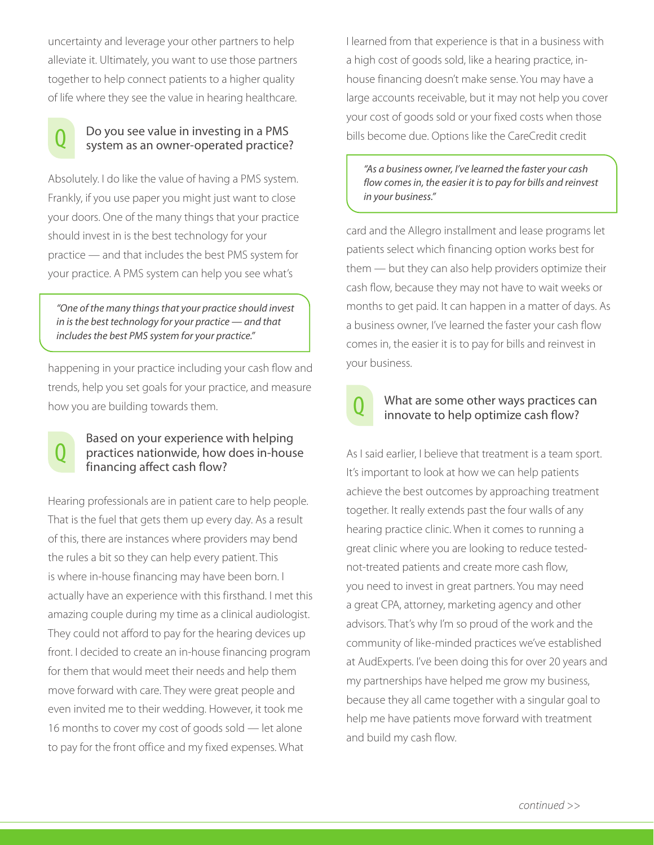uncertainty and leverage your other partners to help alleviate it. Ultimately, you want to use those partners together to help connect patients to a higher quality of life where they see the value in hearing healthcare.



# <sup>Q</sup> Do you see value in investing in a PMS system as an owner-operated practice?

Absolutely. I do like the value of having a PMS system. Frankly, if you use paper you might just want to close your doors. One of the many things that your practice should invest in is the best technology for your practice — and that includes the best PMS system for your practice. A PMS system can help you see what's

*"One of the many things that your practice should invest in is the best technology for your practice — and that includes the best PMS system for your practice."*

happening in your practice including your cash flow and trends, help you set goals for your practice, and measure how you are building towards them.



#### Based on your experience with helping practices nationwide, how does in-house financing affect cash flow?

Hearing professionals are in patient care to help people. That is the fuel that gets them up every day. As a result of this, there are instances where providers may bend the rules a bit so they can help every patient. This is where in-house financing may have been born. I actually have an experience with this firsthand. I met this amazing couple during my time as a clinical audiologist. They could not afford to pay for the hearing devices up front. I decided to create an in-house financing program for them that would meet their needs and help them move forward with care. They were great people and even invited me to their wedding. However, it took me 16 months to cover my cost of goods sold — let alone to pay for the front office and my fixed expenses. What

I learned from that experience is that in a business with a high cost of goods sold, like a hearing practice, inhouse financing doesn't make sense. You may have a large accounts receivable, but it may not help you cover your cost of goods sold or your fixed costs when those bills become due. Options like the CareCredit credit

*"As a business owner, I've learned the faster your cash flow comes in, the easier it is to pay for bills and reinvest in your business."*

card and the Allegro installment and lease programs let patients select which financing option works best for them — but they can also help providers optimize their cash flow, because they may not have to wait weeks or months to get paid. It can happen in a matter of days. As a business owner, I've learned the faster your cash flow comes in, the easier it is to pay for bills and reinvest in your business.

## What are some other ways practices can innovate to help optimize cash flow?

As I said earlier, I believe that treatment is a team sport. It's important to look at how we can help patients achieve the best outcomes by approaching treatment together. It really extends past the four walls of any hearing practice clinic. When it comes to running a great clinic where you are looking to reduce testednot-treated patients and create more cash flow, you need to invest in great partners. You may need a great CPA, attorney, marketing agency and other advisors. That's why I'm so proud of the work and the community of like-minded practices we've established at AudExperts. I've been doing this for over 20 years and my partnerships have helped me grow my business, because they all came together with a singular goal to help me have patients move forward with treatment and build my cash flow.